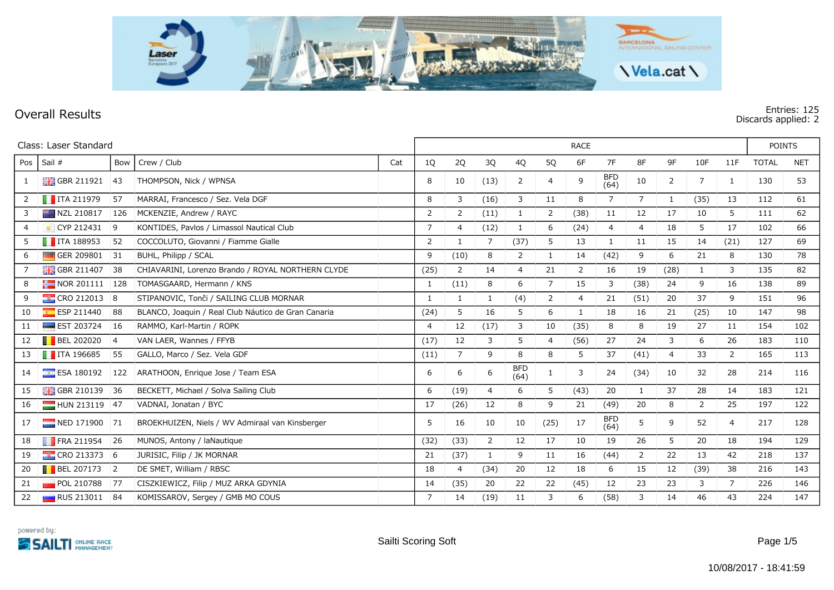

## **Overall Results Entries: 125 Discards applied: 2**

|              | Class: Laser Standard        |                | <b>RACE</b>                                         |     |                |                |                |                    |                |                |                    |                |              |                | <b>POINTS</b>  |              |            |
|--------------|------------------------------|----------------|-----------------------------------------------------|-----|----------------|----------------|----------------|--------------------|----------------|----------------|--------------------|----------------|--------------|----------------|----------------|--------------|------------|
| Pos          | Sail #                       | Bow            | Crew / Club                                         | Cat | 1Q             | 2Q             | 3Q             | 4Q                 | 5Q             | 6F             | 7F                 | 8F             | 9F           | 10F            | 11F            | <b>TOTAL</b> | <b>NET</b> |
| $\mathbf{1}$ | <b>H</b> GBR 211921          | 43             | THOMPSON, Nick / WPNSA                              |     | 8              | 10             | (13)           | 2                  | 4              | 9              | <b>BFD</b><br>(64) | 10             | 2            | 7              | $\mathbf{1}$   | 130          | 53         |
| 2            | $\blacksquare$ ITA 211979    | 57             | MARRAI, Francesco / Sez. Vela DGF                   |     | 8              | 3              | (16)           | 3                  | 11             | 8              | 7                  | $\overline{7}$ | $\mathbf{1}$ | (35)           | 13             | 112          | 61         |
| 3            | NZL 210817                   | 126            | MCKENZIE, Andrew / RAYC                             |     | 2              | 2              | (11)           | 1                  | $\overline{2}$ | (38)           | 11                 | 12             | 17           | 10             | 5              | 111          | 62         |
| 4            | CYP 212431                   | 9              | KONTIDES, Pavlos / Limassol Nautical Club           |     | $\overline{7}$ | $\overline{4}$ | (12)           | 1                  | 6              | (24)           | $\overline{4}$     | $\overline{4}$ | 18           | 5              | 17             | 102          | 66         |
| 5            | $\blacksquare$ ITA 188953    | 52             | COCCOLUTO, Giovanni / Fiamme Gialle                 |     | 2              | 1              | $\overline{7}$ | (37)               | 5              | 13             | 1                  | 11             | 15           | 14             | (21)           | 127          | 69         |
| 6            | GER 209801                   | 31             | BUHL, Philipp / SCAL                                |     | 9              | (10)           | 8              | $\overline{2}$     | $\mathbf{1}$   | 14             | (42)               | 9              | 6            | 21             | 8              | 130          | 78         |
|              | <b>H</b> GBR 211407          | 38             | CHIAVARINI, Lorenzo Brando / ROYAL NORTHERN CLYDE   |     | (25)           | 2              | 14             | $\overline{4}$     | 21             | 2              | 16                 | 19             | (28)         | $\mathbf{1}$   | 3              | 135          | 82         |
| 8            | $\frac{1}{2}$ NOR 201111 128 |                | TOMASGAARD, Hermann / KNS                           |     | $\mathbf{1}$   | (11)           | 8              | 6                  | $\overline{7}$ | 15             | 3                  | (38)           | 24           | 9              | 16             | 138          | 89         |
| 9            | <b>CRO</b> 212013 8          |                | STIPANOVIC, Tonči / SAILING CLUB MORNAR             |     | 1              | 1              | $\mathbf{1}$   | (4)                | 2              | $\overline{4}$ | 21                 | (51)           | 20           | 37             | 9              | 151          | 96         |
| 10           | $E$ ESP 211440               | 88             | BLANCO, Joaquin / Real Club Náutico de Gran Canaria |     | (24)           | 5              | 16             | 5                  | 6              | $\mathbf{1}$   | 18                 | 16             | 21           | (25)           | 10             | 147          | 98         |
| 11           | $\equiv$ EST 203724          | <sup>16</sup>  | RAMMO, Karl-Martin / ROPK                           |     | $\overline{4}$ | 12             | (17)           | 3                  | 10             | (35)           | 8                  | 8              | 19           | 27             | 11             | 154          | 102        |
| 12           | <b>BEL 202020</b>            | $\overline{4}$ | VAN LAER, Wannes / FFYB                             |     | (17)           | 12             | $\mathbf{3}$   | 5                  | 4              | (56)           | 27                 | 24             | 3            | 6              | 26             | 183          | 110        |
| 13           | $\blacksquare$ ITA 196685    | 55             | GALLO, Marco / Sez. Vela GDF                        |     | (11)           | $\overline{7}$ | 9              | 8                  | 8              | 5              | 37                 | (41)           | 4            | 33             | 2              | 165          | 113        |
| 14           | $E$ ESA 180192               | 122            | ARATHOON, Enrique Jose / Team ESA                   |     | 6              | 6              | 6              | <b>BFD</b><br>(64) | 1              | 3              | 24                 | (34)           | 10           | 32             | 28             | 214          | 116        |
| 15           | <b>H</b> GBR 210139          | 36             | BECKETT, Michael / Solva Sailing Club               |     | 6              | (19)           | $\overline{4}$ | 6                  | 5              | (43)           | 20                 | 1              | 37           | 28             | 14             | 183          | 121        |
| 16           | HUN 213119 47                |                | VADNAI, Jonatan / BYC                               |     | 17             | (26)           | 12             | 8                  | 9              | 21             | (49)               | 20             | 8            | $\overline{2}$ | 25             | 197          | 122        |
| 17           | NED 171900 71                |                | BROEKHUIZEN, Niels / WV Admiraal van Kinsberger     |     | 5              | 16             | 10             | 10                 | (25)           | 17             | <b>BFD</b><br>(64) | 5              | 9            | 52             | $\overline{4}$ | 217          | 128        |
| 18           | $\blacksquare$ FRA 211954    | 26             | MUNOS, Antony / laNautique                          |     | (32)           | (33)           | 2              | 12                 | 17             | 10             | 19                 | 26             | 5            | 20             | 18             | 194          | 129        |
| 19           | <b>CRO 213373 6</b>          |                | JURIŠIĆ, Filip / JK MORNAR                          |     | 21             | (37)           | $\mathbf{1}$   | 9                  | 11             | 16             | (44)               | 2              | 22           | 13             | 42             | 218          | 137        |
| 20           | $\blacksquare$ BEL 207173    | $\overline{2}$ | DE SMET, William / RBSC                             |     | 18             | $\overline{4}$ | (34)           | 20                 | 12             | 18             | 6                  | 15             | 12           | (39)           | 38             | 216          | 143        |
| 21           | POL 210788                   | <b>77</b>      | CISZKIEWICZ, Filip / MUZ ARKA GDYNIA                |     | 14             | (35)           | 20             | 22                 | 22             | (45)           | 12                 | 23             | 23           | 3              | 7              | 226          | 146        |
| 22           | <b>RUS 213011</b>            | 84             | KOMISSAROV, Sergey / GMB MO COUS                    |     | 7              | 14             | (19)           | 11                 | 3              | 6              | (58)               | 3              | 14           | 46             | 43             | 224          | 147        |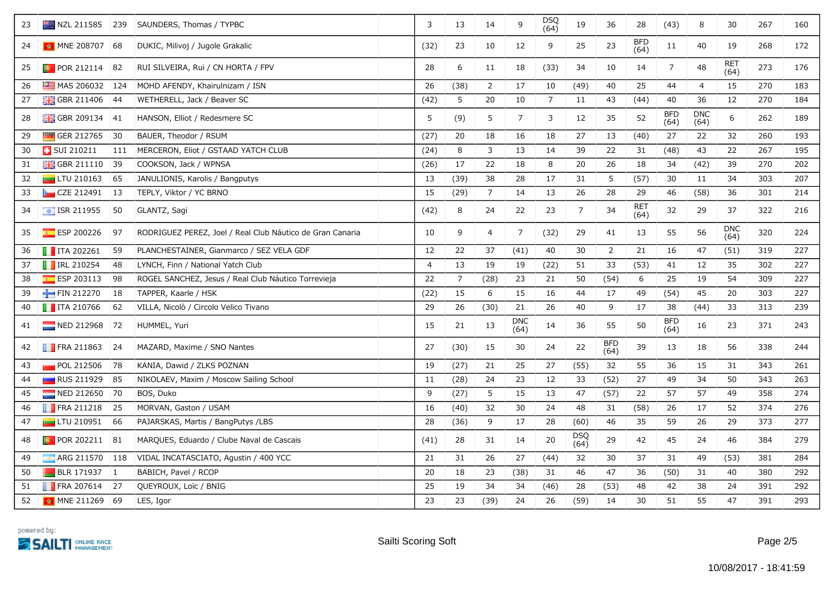| 23 | NZL 211585 239             |               | SAUNDERS, Thomas / TYPBC                                  | 3              | 13             | 14             | 9                  | DSQ<br>(64)    | 19                 | 36                 | 28                 | (43)               | 8                  | 30                 | 267 | 160 |
|----|----------------------------|---------------|-----------------------------------------------------------|----------------|----------------|----------------|--------------------|----------------|--------------------|--------------------|--------------------|--------------------|--------------------|--------------------|-----|-----|
| 24 | MNE 208707                 | 68            | DUKIC, Milivoj / Jugole Grakalic                          | (32)           | 23             | 10             | 12                 | 9              | 25                 | 23                 | <b>BFD</b><br>(64) | 11                 | 40                 | 19                 | 268 | 172 |
| 25 | $\bullet$ POR 212114       | 82            | RUI SILVEIRA, Rui / CN HORTA / FPV                        | 28             | 6              | 11             | 18                 | (33)           | 34                 | 10                 | 14                 | $\overline{7}$     | 48                 | <b>RET</b><br>(64) | 273 | 176 |
| 26 | $M =$ MAS 206032 124       |               | MOHD AFENDY, Khairulnizam / ISN                           | 26             | (38)           | $\overline{2}$ | 17                 | 10             | (49)               | 40                 | 25                 | 44                 | 4                  | 15                 | 270 | 183 |
| 27 | $\frac{1}{200}$ GBR 211406 | 44            | WETHERELL, Jack / Beaver SC                               | (42)           | 5              | 20             | 10                 | $\overline{7}$ | 11                 | 43                 | (44)               | 40                 | 36                 | 12                 | 270 | 184 |
| 28 | <b>H</b> GBR 209134        | 41            | HANSON, Elliot / Redesmere SC                             | 5              | (9)            | 5              | $\overline{7}$     | 3              | 12                 | 35                 | 52                 | <b>BFD</b><br>(64) | <b>DNC</b><br>(64) | 6                  | 262 | 189 |
| 29 | GER 212765                 | 30            | BAUER, Theodor / RSUM                                     | (27)           | 20             | 18             | 16                 | 18             | 27                 | 13                 | (40)               | 27                 | 22                 | 32                 | 260 | 193 |
| 30 | <b>B</b> SUI 210211        | 111           | MERCERON, Eliot / GSTAAD YATCH CLUB                       | (24)           | 8              | 3              | 13                 | 14             | 39                 | 22                 | 31                 | (48)               | 43                 | 22                 | 267 | 195 |
| 31 | <b>H</b> GBR 211110        | 39            | COOKSON, Jack / WPNSA                                     | (26)           | 17             | 22             | 18                 | 8              | 20                 | 26                 | 18                 | 34                 | (42)               | 39                 | 270 | 202 |
| 32 | $L$ TU 210163              | 65            | JANULIONIS, Karolis / Bangputys                           | 13             | (39)           | 38             | 28                 | 17             | 31                 | 5                  | (57)               | 30                 | 11                 | 34                 | 303 | 207 |
| 33 | CZE 212491                 | 13            | TEPLY, Viktor / YC BRNO                                   | 15             | (29)           | $\overline{7}$ | 14                 | 13             | 26                 | 28                 | 29                 | 46                 | (58)               | 36                 | 301 | 214 |
| 34 | $\boxed{\div}$ ISR 211955  | 50            | GLANTZ, Sagi                                              | (42)           | 8              | 24             | 22                 | 23             | $\overline{7}$     | 34                 | RET<br>(64)        | 32                 | 29                 | 37                 | 322 | 216 |
| 35 | $E$ ESP 200226             | 97            | RODRIGUEZ PEREZ, Joel / Real Club Náutico de Gran Canaria | 10             | 9              | $\overline{4}$ | 7                  | (32)           | 29                 | 41                 | 13                 | 55                 | 56                 | <b>DNC</b><br>(64) | 320 | 224 |
| 36 | $\blacksquare$ ITA 202261  | 59            | PLANCHESTAINER, Gianmarco / SEZ VELA GDF                  | 12             | 22             | 37             | (41)               | 40             | 30                 | $\overline{2}$     | 21                 | 16                 | 47                 | (51)               | 319 | 227 |
| 37 | <b>T</b> IRL 210254        | 48            | LYNCH, Finn / National Yatch Club                         | $\overline{4}$ | 13             | 19             | 19                 | (22)           | 51                 | 33                 | (53)               | 41                 | 12                 | 35                 | 302 | 227 |
| 38 | $E = ESP 203113$           | 98            | ROGEL SANCHEZ, Jesus / Real Club Náutico Torrevieja       | 22             | $\overline{7}$ | (28)           | 23                 | 21             | 50                 | (54)               | 6                  | 25                 | 19                 | 54                 | 309 | 227 |
| 39 | FIN 212270                 | <sup>18</sup> | TAPPER, Kaarle / HSK                                      | (22)           | 15             | 6              | 15                 | 16             | 44                 | 17                 | 49                 | (54)               | 45                 | 20                 | 303 | 227 |
| 40 | $\blacksquare$ ITA 210766  | 62            | VILLA, Nicolò / Circolo Velico Tivano                     | 29             | 26             | (30)           | 21                 | 26             | 40                 | 9                  | 17                 | 38                 | (44)               | 33                 | 313 | 239 |
| 41 | $NED 212968$ 72            |               | HUMMEL, Yuri                                              | 15             | 21             | 13             | <b>DNC</b><br>(64) | 14             | 36                 | 55                 | 50                 | <b>BFD</b><br>(64) | 16                 | 23                 | 371 | 243 |
| 42 | $\blacksquare$ FRA 211863  | 24            | MAZARD, Maxime / SNO Nantes                               | 27             | (30)           | 15             | 30                 | 24             | 22                 | <b>BFD</b><br>(64) | 39                 | 13                 | 18                 | 56                 | 338 | 244 |
| 43 | POL 212506                 | 78            | KANIA, Dawid / ZLKS POZNAN                                | 19             | (27)           | 21             | 25                 | 27             | (55)               | 32                 | 55                 | 36                 | 15                 | 31                 | 343 | 261 |
| 44 | <b>RUS 211929</b>          | 85            | NIKOLAEV, Maxim / Moscow Sailing School                   | 11             | (28)           | 24             | 23                 | 12             | 33                 | (52)               | 27                 | 49                 | 34                 | 50                 | 343 | 263 |
| 45 | NED 212650 70              |               | BOS, Duko                                                 | 9              | (27)           | 5              | 15                 | 13             | 47                 | (57)               | 22                 | 57                 | 57                 | 49                 | 358 | 274 |
| 46 | FRA 211218                 | 25            | MORVAN, Gaston / USAM                                     | 16             | (40)           | 32             | 30                 | 24             | 48                 | 31                 | (58)               | 26                 | 17                 | 52                 | 374 | 276 |
| 47 | LTU 210951                 | 66            | PAJARSKAS, Martis / BangPutys /LBS                        | 28             | (36)           | 9              | 17                 | 28             | (60)               | 46                 | 35                 | 59                 | 26                 | 29                 | 373 | 277 |
| 48 | <b>D</b> POR 202211        | 81            | MARQUES, Eduardo / Clube Naval de Cascais                 | (41)           | 28             | 31             | 14                 | 20             | <b>DSQ</b><br>(64) | 29                 | 42                 | 45                 | 24                 | 46                 | 384 | 279 |
| 49 | ARG 211570                 | 118           | VIDAL INCATASCIATO, Agustin / 400 YCC                     | 21             | 31             | 26             | 27                 | (44)           | 32                 | 30                 | 37                 | 31                 | 49                 | (53)               | 381 | 284 |
| 50 | $BLR$ 171937               | $\vert$ 1     | BABICH, Pavel / RCOP                                      | 20             | 18             | 23             | (38)               | 31             | 46                 | 47                 | 36                 | (50)               | 31                 | 40                 | 380 | 292 |
| 51 | <b>FRA 207614</b>          | 27            | QUEYROUX, Loïc / BNIG                                     | 25             | 19             | 34             | 34                 | (46)           | 28                 | (53)               | 48                 | 42                 | 38                 | 24                 | 391 | 292 |
| 52 | MNE 211269 69              |               | LES, Igor                                                 | 23             | 23             | (39)           | 24                 | 26             | (59)               | 14                 | 30                 | 51                 | 55                 | 47                 | 391 | 293 |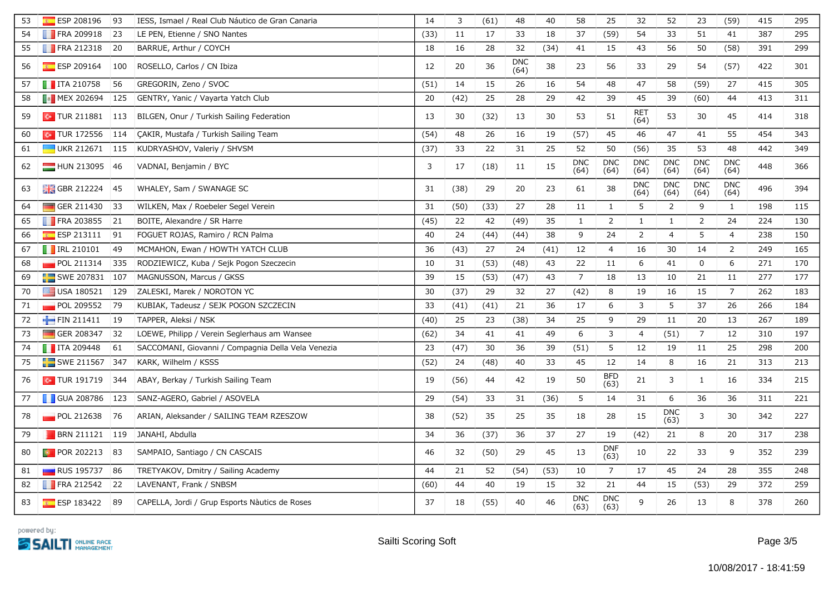| 53 | ESP 208196                   | 93  | IESS, Ismael / Real Club Náutico de Gran Canaria   | 14   | 3    | (61) | 48                 | 40   | 58                 | 25                 | 32                 | 52                 | 23                 | (59)               | 415 | 295 |
|----|------------------------------|-----|----------------------------------------------------|------|------|------|--------------------|------|--------------------|--------------------|--------------------|--------------------|--------------------|--------------------|-----|-----|
| 54 | <b>FRA 209918</b>            | 23  | LE PEN, Etienne / SNO Nantes                       | (33) | 11   | 17   | 33                 | 18   | 37                 | (59)               | 54                 | 33                 | 51                 | 41                 | 387 | 295 |
| 55 | $\blacksquare$ FRA 212318    | 20  | BARRUE, Arthur / COYCH                             | 18   | 16   | 28   | 32                 | (34) | 41                 | 15                 | 43                 | 56                 | 50                 | (58)               | 391 | 299 |
| 56 | $E$ ESP 209164               | 100 | ROSELLO, Carlos / CN Ibiza                         | 12   | 20   | 36   | <b>DNC</b><br>(64) | 38   | 23                 | 56                 | 33                 | 29                 | 54                 | (57)               | 422 | 301 |
| 57 | $\blacksquare$ ITA 210758    | 56  | GREGORIN, Zeno / SVOC                              | (51) | 14   | 15   | 26                 | 16   | 54                 | 48                 | 47                 | 58                 | (59)               | 27                 | 415 | 305 |
| 58 | <b>MEX 202694 125</b>        |     | GENTRY, Yanic / Vayarta Yatch Club                 | 20   | (42) | 25   | 28                 | 29   | 42                 | 39                 | 45                 | 39                 | (60)               | 44                 | 413 | 311 |
| 59 | $\sim$ TUR 211881 113        |     | BILGEN, Onur / Turkish Sailing Federation          | 13   | 30   | (32) | 13                 | 30   | 53                 | 51                 | <b>RET</b><br>(64) | 53                 | 30                 | 45                 | 414 | 318 |
| 60 | $\boxed{\bullet}$ TUR 172556 | 114 | CAKIR, Mustafa / Turkish Sailing Team              | (54) | 48   | 26   | 16                 | 19   | (57)               | 45                 | 46                 | 47                 | 41                 | 55                 | 454 | 343 |
| 61 | UKR 212671                   | 115 | KUDRYASHOV, Valeriy / SHVSM                        | (37) | 33   | 22   | 31                 | 25   | 52                 | 50                 | (56)               | 35                 | 53                 | 48                 | 442 | 349 |
| 62 | HUN 213095 46                |     | VADNAI, Benjamin / BYC                             | 3    | 17   | (18) | 11                 | 15   | <b>DNC</b><br>(64) | <b>DNC</b><br>(64) | <b>DNC</b><br>(64) | <b>DNC</b><br>(64) | <b>DNC</b><br>(64) | <b>DNC</b><br>(64) | 448 | 366 |
| 63 | GBR 212224 45                |     | WHALEY, Sam / SWANAGE SC                           | 31   | (38) | 29   | 20                 | 23   | 61                 | 38                 | <b>DNC</b><br>(64) | <b>DNC</b><br>(64) | <b>DNC</b><br>(64) | <b>DNC</b><br>(64) | 496 | 394 |
| 64 | GER 211430                   | 33  | WILKEN, Max / Roebeler Segel Verein                | 31   | (50) | (33) | 27                 | 28   | 11                 | $\mathbf{1}$       | 5                  | 2                  | 9                  | $\mathbf{1}$       | 198 | 115 |
| 65 | <b>FRA 203855</b>            | 21  | BOITE, Alexandre / SR Harre                        | (45) | 22   | 42   | (49)               | 35   | $\mathbf{1}$       | $\overline{2}$     | $\mathbf{1}$       | $\mathbf{1}$       | $\overline{2}$     | 24                 | 224 | 130 |
| 66 | <b>ESP 213111</b>            | 91  | FOGUET ROJAS, Ramiro / RCN Palma                   | 40   | 24   | (44) | (44)               | 38   | 9                  | 24                 | $\overline{2}$     | $\overline{4}$     | 5                  | $\overline{4}$     | 238 | 150 |
| 67 | <b>TRL 210101</b>            | 49  | MCMAHON, Ewan / HOWTH YATCH CLUB                   | 36   | (43) | 27   | 24                 | (41) | 12                 | $\overline{4}$     | 16                 | 30                 | 14                 | $\overline{2}$     | 249 | 165 |
| 68 | POL 211314                   | 335 | RODZIEWICZ, Kuba / Sejk Pogon Szeczecin            | 10   | 31   | (53) | (48)               | 43   | 22                 | 11                 | 6                  | 41                 | 0                  | 6                  | 271 | 170 |
| 69 | SWE 207831 107               |     | MAGNUSSON, Marcus / GKSS                           | 39   | 15   | (53) | (47)               | 43   | $\overline{7}$     | 18                 | 13                 | 10                 | 21                 | 11                 | 277 | 177 |
| 70 | USA 180521                   | 129 | ZALESKI, Marek / NOROTON YC                        | 30   | (37) | 29   | 32                 | 27   | (42)               | 8                  | 19                 | 16                 | 15                 | $\overline{7}$     | 262 | 183 |
| 71 | POL 209552                   | 79  | KUBIAK, Tadeusz / SEJK POGON SZCZECIN              | 33   | (41) | (41) | 21                 | 36   | 17                 | 6                  | $\mathbf{3}$       | 5                  | 37                 | 26                 | 266 | 184 |
| 72 | FIN 211411                   | 19  | TAPPER, Aleksi / NSK                               | (40) | 25   | 23   | (38)               | 34   | 25                 | 9                  | 29                 | 11                 | 20                 | 13                 | 267 | 189 |
| 73 | GER 208347                   | 32  | LOEWE, Philipp / Verein Seglerhaus am Wansee       | (62) | 34   | 41   | 41                 | 49   | 6                  | 3                  | $\overline{4}$     | (51)               | 7                  | 12                 | 310 | 197 |
| 74 | $\blacksquare$ ITA 209448    | 61  | SACCOMANI, Giovanni / Compagnia Della Vela Venezia | 23   | (47) | 30   | 36                 | 39   | (51)               | 5                  | 12                 | 19                 | 11                 | 25                 | 298 | 200 |
| 75 | SWE 211567 347               |     | KARK, Wilhelm / KSSS                               | (52) | 24   | (48) | 40                 | 33   | 45                 | 12                 | 14                 | 8                  | 16                 | 21                 | 313 | 213 |
| 76 | $\sim$ TUR 191719            | 344 | ABAY, Berkay / Turkish Sailing Team                | 19   | (56) | 44   | 42                 | 19   | 50                 | <b>BFD</b><br>(63) | 21                 | 3                  | $\mathbf{1}$       | 16                 | 334 | 215 |
| 77 | <b>GUA 208786</b>            | 123 | SANZ-AGERO, Gabriel / ASOVELA                      | 29   | (54) | 33   | 31                 | (36) | 5                  | 14                 | 31                 | 6                  | 36                 | 36                 | 311 | 221 |
| 78 | $\blacksquare$ POL 212638    | 76  | ARIAN, Aleksander / SAILING TEAM RZESZOW           | 38   | (52) | 35   | 25                 | 35   | 18                 | 28                 | 15                 | <b>DNC</b><br>(63) | 3                  | 30                 | 342 | 227 |
| 79 | <b>BRN 211121</b>            | 119 | JANAHI, Abdulla                                    | 34   | 36   | (37) | 36                 | 37   | 27                 | 19                 | (42)               | 21                 | 8                  | 20                 | 317 | 238 |
| 80 | <b>D</b> POR 202213          | 83  | SAMPAIO, Santiago / CN CASCAIS                     | 46   | 32   | (50) | 29                 | 45   | 13                 | <b>DNF</b><br>(63) | 10                 | 22                 | 33                 | 9                  | 352 | 239 |
| 81 | RUS 195737 86                |     | TRETYAKOV, Dmitry / Sailing Academy                | 44   | 21   | 52   | (54)               | (53) | 10                 | $\overline{7}$     | 17                 | 45                 | 24                 | 28                 | 355 | 248 |
| 82 | FRA 212542 22                |     | LAVENANT, Frank / SNBSM                            | (60) | 44   | 40   | 19                 | 15   | 32                 | 21                 | 44                 | 15                 | (53)               | 29                 | 372 | 259 |
| 83 | ESP 183422 89                |     | CAPELLA, Jordi / Grup Esports Nàutics de Roses     | 37   | 18   | (55) | 40                 | 46   | <b>DNC</b><br>(63) | <b>DNC</b><br>(63) | 9                  | 26                 | 13                 | 8                  | 378 | 260 |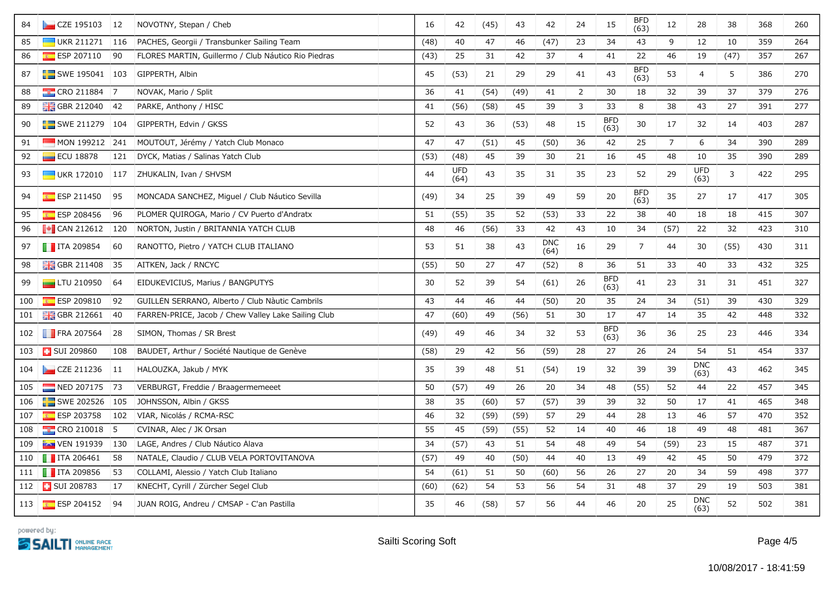| 84  | CZE 195103 12                   |           | NOVOTNY, Stepan / Cheb                              | 16   | 42                 | (45) | 43   | 42                 | 24             | 15                 | <b>BFD</b><br>(63) | 12             | 28                 | 38   | 368 | 260 |
|-----|---------------------------------|-----------|-----------------------------------------------------|------|--------------------|------|------|--------------------|----------------|--------------------|--------------------|----------------|--------------------|------|-----|-----|
| 85  | $\blacksquare$ UKR 211271       | 116       | PACHES, Georgii / Transbunker Sailing Team          | (48) | 40                 | 47   | 46   | (47)               | 23             | 34                 | 43                 | 9              | 12                 | 10   | 359 | 264 |
| 86  | ESP 207110                      | 90        | FLORES MARTIN, Guillermo / Club Náutico Rio Piedras | (43) | 25                 | 31   | 42   | 37                 | $\overline{4}$ | 41                 | 22                 | 46             | 19                 | (47) | 357 | 267 |
| 87  | $\blacksquare$ SWE 195041   103 |           | GIPPERTH, Albin                                     | 45   | (53)               | 21   | 29   | 29                 | 41             | 43                 | <b>BFD</b><br>(63) | 53             | 4                  | 5    | 386 | 270 |
| 88  | $\frac{1}{2}$ CRO 211884        | 7         | NOVAK, Mario / Split                                | 36   | 41                 | (54) | (49) | 41                 | $\overline{2}$ | 30                 | 18                 | 32             | 39                 | 37   | 379 | 276 |
| 89  | <b>H</b> GBR 212040             | 42        | PARKE, Anthony / HISC                               | 41   | (56)               | (58) | 45   | 39                 | 3              | 33                 | 8                  | 38             | 43                 | 27   | 391 | 277 |
| 90  | $\frac{1}{2}$ SWE 211279 104    |           | GIPPERTH, Edvin / GKSS                              | 52   | 43                 | 36   | (53) | 48                 | 15             | <b>BFD</b><br>(63) | 30                 | 17             | 32                 | 14   | 403 | 287 |
| 91  | $-MON 199212 241$               |           | MOUTOUT, Jérémy / Yatch Club Monaco                 | 47   | 47                 | (51) | 45   | (50)               | 36             | 42                 | 25                 | $\overline{7}$ | $\boldsymbol{6}$   | 34   | 390 | 289 |
| 92  | <b>ECU 18878</b>                | 121       | DYCK, Matias / Salinas Yatch Club                   | (53) | (48)               | 45   | 39   | 30                 | 21             | 16                 | 45                 | 48             | 10                 | 35   | 390 | 289 |
| 93  | $\Box$ UKR 172010               | 117       | ZHUKALIN, Ivan / SHVSM                              | 44   | <b>UFD</b><br>(64) | 43   | 35   | 31                 | 35             | 23                 | 52                 | 29             | <b>UFD</b><br>(63) | 3    | 422 | 295 |
| 94  | $E = ESP 211450$                | 95        | MONCADA SÁNCHEZ, Miguel / Club Náutico Sevilla      | (49) | 34                 | 25   | 39   | 49                 | 59             | 20                 | <b>BFD</b><br>(63) | 35             | 27                 | 17   | 417 | 305 |
| 95  | ESP 208456                      | 96        | PLOMER QUIROGA, Mario / CV Puerto d'Andratx         | 51   | (55)               | 35   | 52   | (53)               | 33             | 22                 | 38                 | 40             | 18                 | 18   | 415 | 307 |
| 96  | $\sqrt{\bullet}$ CAN 212612 120 |           | NORTON, Justin / BRITANNIA YATCH CLUB               | 48   | 46                 | (56) | 33   | 42                 | 43             | 10                 | 34                 | (57)           | 22                 | 32   | 423 | 310 |
| 97  | $\blacksquare$ ITA 209854       | 60        | RANOTTO, Pietro / YATCH CLUB ITALIANO               | 53   | 51                 | 38   | 43   | <b>DNC</b><br>(64) | 16             | 29                 | $\overline{7}$     | 44             | 30                 | (55) | 430 | 311 |
| 98  | <b>H</b> GBR 211408             | 35        | AITKEN, Jack / RNCYC                                | (55) | 50                 | 27   | 47   | (52)               | $\,8\,$        | 36                 | 51                 | 33             | 40                 | 33   | 432 | 325 |
| 99  | $\Box$ LTU 210950               | 64        | EIDUKEVICIUS, Marius / BANGPUTYS                    | 30   | 52                 | 39   | 54   | (61)               | 26             | <b>BFD</b><br>(63) | 41                 | 23             | 31                 | 31   | 451 | 327 |
| 100 | $E = ESP 209810$                | 92        | GUILLÉN SERRANO, Alberto / Club Nàutic Cambrils     | 43   | 44                 | 46   | 44   | (50)               | 20             | 35                 | 24                 | 34             | (51)               | 39   | 430 | 329 |
| 101 | $\frac{1}{200}$ GBR 212661      | 40        | FARREN-PRICE, Jacob / Chew Valley Lake Sailing Club | 47   | (60)               | 49   | (56) | 51                 | 30             | 17                 | 47                 | 14             | 35                 | 42   | 448 | 332 |
| 102 | $\blacksquare$ FRA 207564       | 28        | SIMON, Thomas / SR Brest                            | (49) | 49                 | 46   | 34   | 32                 | 53             | BFD<br>(63)        | 36                 | 36             | 25                 | 23   | 446 | 334 |
| 103 | <b>T</b> SUI 209860             | 108       | BAUDET, Arthur / Société Nautique de Genève         | (58) | 29                 | 42   | 56   | (59)               | 28             | 27                 | 26                 | 24             | 54                 | 51   | 454 | 337 |
| 104 | $\Box$ CZE 211236               | 11        | HALOUZKA, Jakub / MYK                               | 35   | 39                 | 48   | 51   | (54)               | 19             | 32                 | 39                 | 39             | <b>DNC</b><br>(63) | 43   | 462 | 345 |
| 105 | NED 207175                      | 73        | VERBURGT, Freddie / Braagermemeeet                  | 50   | (57)               | 49   | 26   | 20                 | 34             | 48                 | (55)               | 52             | 44                 | 22   | 457 | 345 |
| 106 | SWE 202526 105                  |           | JOHNSSON, Albin / GKSS                              | 38   | 35                 | (60) | 57   | (57)               | 39             | 39                 | 32                 | 50             | 17                 | 41   | 465 | 348 |
| 107 | $E$ ESP 203758                  | 102       | VIAR, Nicolás / RCMA-RSC                            | 46   | 32                 | (59) | (59) | 57                 | 29             | 44                 | 28                 | 13             | 46                 | 57   | 470 | 352 |
| 108 | $\frac{1}{2}$ CRO 210018        | $\vert 5$ | CVINAR, Alec / JK Orsan                             | 55   | 45                 | (59) | (55) | 52                 | 14             | 40                 | 46                 | 18             | 49                 | 48   | 481 | 367 |
| 109 | <b>FAN</b> VEN 191939           | 130       | LAGE, Andres / Club Náutico Álava                   | 34   | (57)               | 43   | 51   | 54                 | 48             | 49                 | 54                 | (59)           | 23                 | 15   | 487 | 371 |
| 110 | $\blacksquare$ ITA 206461       | 58        | NATALE, Claudio / CLUB VELA PORTOVITANOVA           | (57) | 49                 | 40   | (50) | 44                 | 40             | 13                 | 49                 | 42             | 45                 | 50   | 479 | 372 |
| 111 | $\blacksquare$ ITA 209856       | 53        | COLLAMI, Alessio / Yatch Club Italiano              | 54   | (61)               | 51   | 50   | (60)               | 56             | 26                 | 27                 | 20             | 34                 | 59   | 498 | 377 |
| 112 | SUI 208783                      | 17        | KNECHT, Cyrill / Zürcher Segel Club                 | (60) | (62)               | 54   | 53   | 56                 | 54             | 31                 | 48                 | 37             | 29                 | 19   | 503 | 381 |
| 113 | ESP 204152                      | 94        | JUAN ROIG, Andreu / CMSAP - C'an Pastilla           | 35   | 46                 | (58) | 57   | 56                 | 44             | 46                 | 20                 | 25             | <b>DNC</b><br>(63) | 52   | 502 | 381 |